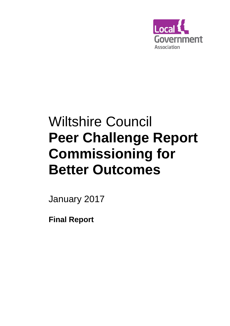

# Wiltshire Council **Peer Challenge Report Commissioning for Better Outcomes**

January 2017

**Final Report**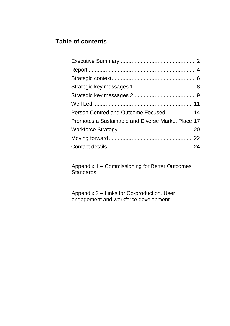## **Table of contents**

| Person Centred and Outcome Focused  14             |  |
|----------------------------------------------------|--|
| Promotes a Sustainable and Diverse Market Place 17 |  |
|                                                    |  |
|                                                    |  |
|                                                    |  |

Appendix 1 – Commissioning for Better Outcomes Standards

Appendix 2 – Links for Co-production, User engagement and workforce development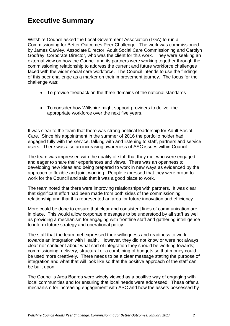# **Executive Summary**

Wiltshire Council asked the Local Government Association (LGA) to run a Commissioning for Better Outcomes Peer Challenge. The work was commissioned by James Cawley, Associate Director, Adult Social Care Commissioning and Carolyn Godfrey, Corporate Director, who was the client for this work. They were seeking an external view on how the Council and its partners were working together through the commissioning relationship to address the current and future workforce challenges faced with the wider social care workforce. The Council intends to use the findings of this peer challenge as a marker on their improvement journey. The focus for the challenge was:

- To provide feedback on the three domains of the national standards
- To consider how Wiltshire might support providers to deliver the appropriate workforce over the next five years.

It was clear to the team that there was strong political leadership for Adult Social Care. Since his appointment in the summer of 2016 the portfolio holder had engaged fully with the service, talking with and listening to staff, partners and service users. There was also an increasing awareness of ASC issues within Council.

The team was impressed with the quality of staff that they met who were engaged and eager to share their experiences and views. There was an openness to developing new ideas and being prepared to work in new ways as evidenced by the approach to flexible and joint working. People expressed that they were proud to work for the Council and said that it was a good place to work.

The team noted that there were improving relationships with partners. It was clear that significant effort had been made from both sides of the commissioning relationship and that this represented an area for future innovation and efficiency.

More could be done to ensure that clear and consistent lines of communication are in place. This would allow corporate messages to be understood by all staff as well as providing a mechanism for engaging with frontline staff and gathering intelligence to inform future strategy and operational policy.

The staff that the team met expressed their willingness and readiness to work towards an integration with Health. However, they did not know or were not always clear nor confident about what sort of integration they should be working towards; commissioning, delivery, structural or a combining of budgets so that money could be used more creatively. There needs to be a clear message stating the purpose of integration and what that will look like so that the positive approach of the staff can be built upon.

The Council's Area Boards were widely viewed as a positive way of engaging with local communities and for ensuring that local needs were addressed. These offer a mechanism for increasing engagement with ASC and how the assets possessed by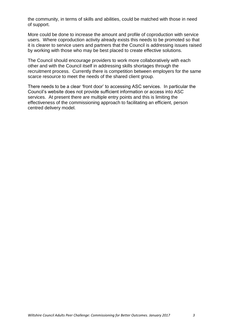the community, in terms of skills and abilities, could be matched with those in need of support.

More could be done to increase the amount and profile of coproduction with service users. Where coproduction activity already exists this needs to be promoted so that it is clearer to service users and partners that the Council is addressing issues raised by working with those who may be best placed to create effective solutions.

The Council should encourage providers to work more collaboratively with each other and with the Council itself in addressing skills shortages through the recruitment process. Currently there is competition between employers for the same scarce resource to meet the needs of the shared client group.

There needs to be a clear 'front door' to accessing ASC services. In particular the Council's website does not provide sufficient information or access into ASC services. At present there are multiple entry points and this is limiting the effectiveness of the commissioning approach to facilitating an efficient, person centred delivery model.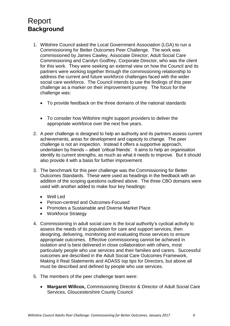# <span id="page-4-0"></span>Report **Background**

- 1. Wiltshire Council asked the Local Government Association (LGA) to run a Commissioning for Better Outcomes Peer Challenge. The work was commissioned by James Cawley, Associate Director, Adult Social Care Commissioning and Carolyn Godfrey, Corporate Director, who was the client for this work. They were seeking an external view on how the Council and its partners were working together through the commissioning relationship to address the current and future workforce challenges faced with the wider social care workforce. The Council intends to use the findings of this peer challenge as a marker on their improvement journey. The focus for the challenge was:
	- To provide feedback on the three domains of the national standards
	- To consider how Wiltshire might support providers to deliver the appropriate workforce over the next five years.
- 2. A peer challenge is designed to help an authority and its partners assess current achievements, areas for development and capacity to change. The peer challenge is not an inspection. Instead it offers a supportive approach, undertaken by friends – albeit 'critical friends'. It aims to help an organisation identify its current strengths, as much as what it needs to improve. But it should also provide it with a basis for further improvement.
- 3. The benchmark for this peer challenge was the Commissioning for Better Outcomes Standards. These were used as headings in the feedback with an addition of the scoping questions outlined above. The three CBO domains were used with another added to make four key headings:
	- Well Led
	- Person-centred and Outcomes-Focused
	- Promotes a Sustainable and Diverse Market Place
	- Workforce Strategy
- 4. Commissioning in adult social care is the local authority's cyclical activity to assess the needs of its population for care and support services, then designing, delivering, monitoring and evaluating those services to ensure appropriate outcomes. Effective commissioning cannot be achieved in isolation and is best delivered in close collaboration with others, most particularly people who use services and their families and carers. Successful outcomes are described in the Adult Social Care Outcomes Framework, Making it Real Statements and ADASS top tips for Directors, but above all must be described and defined by people who use services.
- 5. The members of the peer challenge team were:
	- **Margaret Willcox,** Commissioning Director & Director of Adult Social Care Services, Gloucestershire County Council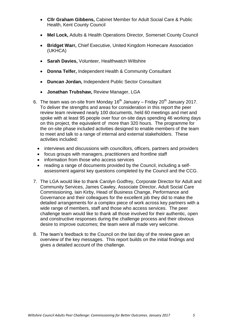- **Cllr Graham Gibbens,** Cabinet Member for Adult Social Care & Public Health, Kent County Council
- **Mel Lock,** Adults & Health Operations Director, Somerset County Council
- **Bridget Warr,** Chief Executive, United Kingdom Homecare Association (UKHCA)
- **Sarah Davies,** Volunteer, Healthwatch Wiltshire
- **Donna Telfer,** Independent Health & Community Consultant
- **Duncan Jordan,** Independent Public Sector Consultant
- **Jonathan Trubshaw,** Review Manager, LGA
- 6. The team was on-site from Monday 16<sup>th</sup> January Friday 20<sup>th</sup> January 2017. To deliver the strengths and areas for consideration in this report the peer review team reviewed nearly 100 documents, held 60 meetings and met and spoke with at least 95 people over four on-site days spending 46 working days on this project, the equivalent of more than 320 hours. The programme for the on-site phase included activities designed to enable members of the team to meet and talk to a range of internal and external stakeholders. These activities included:
	- interviews and discussions with councillors, officers, partners and providers
	- focus groups with managers, practitioners and frontline staff
	- information from those who access services
	- reading a range of documents provided by the Council, including a selfassessment against key questions completed by the Council and the CCG.
- 7. The LGA would like to thank Carolyn Godfrey, Corporate Director for Adult and Community Services, James Cawley, Associate Director, Adult Social Care Commissioning, Iain Kirby, Head of Business Change, Performance and Governance and their colleagues for the excellent job they did to make the detailed arrangements for a complex piece of work across key partners with a wide range of members, staff and those who access services. The peer challenge team would like to thank all those involved for their authentic, open and constructive responses during the challenge process and their obvious desire to improve outcomes; the team were all made very welcome.
- 8. The team's feedback to the Council on the last day of the review gave an overview of the key messages. This report builds on the initial findings and gives a detailed account of the challenge.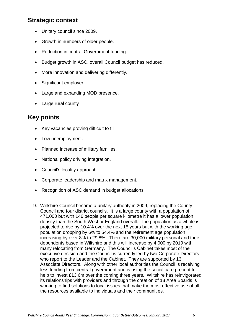## <span id="page-6-0"></span>**Strategic context**

- Unitary council since 2009.
- Growth in numbers of older people.
- Reduction in central Government funding.
- Budget growth in ASC, overall Council budget has reduced.
- More innovation and delivering differently.
- Significant employer.
- Large and expanding MOD presence.
- Large rural county

## **Key points**

- Key vacancies proving difficult to fill.
- Low unemployment.
- Planned increase of military families.
- National policy driving integration.
- Council's locality approach.
- Corporate leadership and matrix management.
- Recognition of ASC demand in budget allocations.
- 9. Wiltshire Council became a unitary authority in 2009, replacing the County Council and four district councils. It is a large county with a population of 471,000 but with 146 people per square kilometre it has a lower population density than the South West or England overall. The population as a whole is projected to rise by 10.4% over the next 15 years but with the working age population dropping by 6% to 54.4% and the retirement age population increasing by over 8% to 29.8%. There are 30,000 military personal and their dependents based in Wiltshire and this will increase by 4,000 by 2019 with many relocating from Germany. The Council's Cabinet takes most of the executive decision and the Council is currently led by two Corporate Directors who report to the Leader and the Cabinet. They are supported by 13 Associate Directors. Along with other local authorities the Council is receiving less funding from central government and is using the social care precept to help to invest £13.6m over the coming three years. Wiltshire has reinvigorated its relationships with providers and through the creation of 18 Area Boards is working to find solutions to local issues that make the most effective use of all the resources available to individuals and their communities.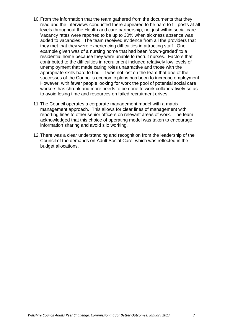- 10.From the information that the team gathered from the documents that they read and the interviews conducted there appeared to be hard to fill posts at all levels throughout the Health and care partnership, not just within social care. Vacancy rates were reported to be up to 30% when sickness absence was added to vacancies. The team received evidence from all the providers that they met that they were experiencing difficulties in attracting staff. One example given was of a nursing home that had been 'down-graded' to a residential home because they were unable to recruit nurses. Factors that contributed to the difficulties in recruitment included relatively low levels of unemployment that made caring roles unattractive and those with the appropriate skills hard to find. It was not lost on the team that one of the successes of the Council's economic plans has been to increase employment. However, with fewer people looking for work the pool of potential social care workers has shrunk and more needs to be done to work collaboratively so as to avoid losing time and resources on failed recruitment drives.
- 11.The Council operates a corporate management model with a matrix management approach. This allows for clear lines of management with reporting lines to other senior officers on relevant areas of work. The team acknowledged that this choice of operating model was taken to encourage information sharing and avoid silo working.
- 12.There was a clear understanding and recognition from the leadership of the Council of the demands on Adult Social Care, which was reflected in the budget allocations.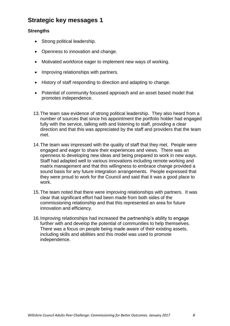## **Strategic key messages 1**

#### **Strengths**

- Strong political leadership.
- Openness to innovation and change.
- Motivated workforce eager to implement new ways of working.
- Improving relationships with partners.
- History of staff responding to direction and adapting to change.
- Potential of community focussed approach and an asset based model that promotes independence.
- 13.The team saw evidence of strong political leadership. They also heard from a number of sources that since his appointment the portfolio holder had engaged fully with the service, talking with and listening to staff, providing a clear direction and that this was appreciated by the staff and providers that the team met.
- 14.The team was impressed with the quality of staff that they met. People were engaged and eager to share their experiences and views. There was an openness to developing new ideas and being prepared to work in new ways. Staff had adapted well to various innovations including remote working and matrix management and that this willingness to embrace change provided a sound basis for any future integration arrangements. People expressed that they were proud to work for the Council and said that it was a good place to work.
- 15.The team noted that there were improving relationships with partners. It was clear that significant effort had been made from both sides of the commissioning relationship and that this represented an area for future innovation and efficiency.
- 16.Improving relationships had increased the partnership's ability to engage further with and develop the potential of communities to help themselves. There was a focus on people being made aware of their existing assets, including skills and abilities and this model was used to promote independence.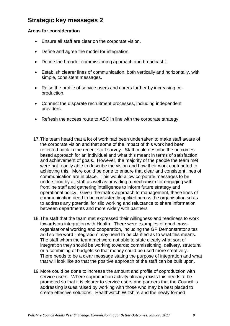## **Strategic key messages 2**

#### **Areas for consideration**

- Ensure all staff are clear on the corporate vision.
- Define and agree the model for integration.
- Define the broader commissioning approach and broadcast it.
- Establish clearer lines of communication, both vertically and horizontally, with simple, consistent messages.
- Raise the profile of service users and carers further by increasing coproduction.
- Connect the disparate recruitment processes, including independent providers.
- Refresh the access route to ASC in line with the corporate strategy.
- 17.The team heard that a lot of work had been undertaken to make staff aware of the corporate vision and that some of the impact of this work had been reflected back in the recent staff survey. Staff could describe the outcomes based approach for an individual and what this meant in terms of satisfaction and achievement of goals. However, the majority of the people the team met were not readily able to describe the vision and how their work contributed to achieving this. More could be done to ensure that clear and consistent lines of communication are in place. This would allow corporate messages to be understood by all staff as well as providing a mechanism for engaging with frontline staff and gathering intelligence to inform future strategy and operational policy. Given the matrix approach to management, these lines of communication need to be consistently applied across the organisation so as to address any potential for silo working and reluctance to share information between departments and more widely with partners
- 18.The staff that the team met expressed their willingness and readiness to work towards an integration with Health. There were examples of good crossorganisational working and cooperation, including the GP Demonstrator sites and so the word 'integration' may need to be clarified as to what this means. The staff whom the team met were not able to state clearly what sort of integration they should be working towards; commissioning, delivery, structural or a combining of budgets so that money could be used more creatively. There needs to be a clear message stating the purpose of integration and what that will look like so that the positive approach of the staff can be built upon.
- 19.More could be done to increase the amount and profile of coproduction with service users. Where coproduction activity already exists this needs to be promoted so that it is clearer to service users and partners that the Council is addressing issues raised by working with those who may be best placed to create effective solutions. Healthwatch Wiltshire and the newly formed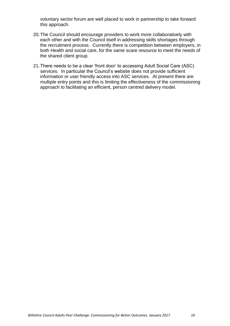voluntary sector forum are well placed to work in partnership to take forward this approach.

- 20.The Council should encourage providers to work more collaboratively with each other and with the Council itself in addressing skills shortages through the recruitment process. Currently there is competition between employers, in both Health and social care, for the same scare resource to meet the needs of the shared client group.
- 21.There needs to be a clear 'front door' to accessing Adult Social Care (ASC) services. In particular the Council's website does not provide sufficient information or user friendly access into ASC services. At present there are multiple entry points and this is limiting the effectiveness of the commissioning approach to facilitating an efficient, person centred delivery model.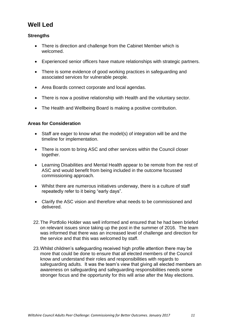## **Well Led**

#### **Strengths**

- There is direction and challenge from the Cabinet Member which is welcomed.
- Experienced senior officers have mature relationships with strategic partners.
- There is some evidence of good working practices in safeguarding and associated services for vulnerable people.
- Area Boards connect corporate and local agendas.
- There is now a positive relationship with Health and the voluntary sector.
- The Health and Wellbeing Board is making a positive contribution.

#### **Areas for Consideration**

- Staff are eager to know what the model(s) of integration will be and the timeline for implementation.
- There is room to bring ASC and other services within the Council closer together.
- Learning Disabilities and Mental Health appear to be remote from the rest of ASC and would benefit from being included in the outcome focussed commissioning approach.
- Whilst there are numerous initiatives underway, there is a culture of staff repeatedly refer to it being "early days".
- Clarify the ASC vision and therefore what needs to be commissioned and delivered.
- 22.The Portfolio Holder was well informed and ensured that he had been briefed on relevant issues since taking up the post in the summer of 2016. The team was informed that there was an increased level of challenge and direction for the service and that this was welcomed by staff.
- 23.Whilst children's safeguarding received high profile attention there may be more that could be done to ensure that all elected members of the Council know and understand their roles and responsibilities with regards to safeguarding adults. It was the team's view that giving all elected members an awareness on safeguarding and safeguarding responsibilities needs some stronger focus and the opportunity for this will arise after the May elections.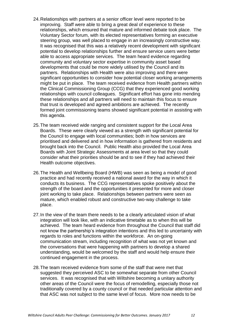- 24.Relationships with partners at a senior officer level were reported to be improving. Staff were able to bring a great deal of experience to these relationships, which ensured that mature and informed debate took place. The Voluntary Sector forum, with its elected representatives forming an executive steering group, was well placed to engage in an increasingly constructive way. It was recognised that this was a relatively recent development with significant potential to develop relationships further and ensure service users were better able to access appropriate services. The team heard evidence regarding community and voluntary sector expertise in community asset based developments that could be more widely utilised by the Council and its partners. Relationships with Health were also improving and there were significant opportunities to consider how potential closer working arrangements might be put in place. The team received evidence from Health partners within the Clinical Commissioning Group (CCG) that they experienced good working relationships with council colleagues. Significant effort has gone into mending these relationships and all partners will need to maintain this focus to ensure that trust is developed and agreed ambitions are achieved. The recently formed joint commissioning teams showed significant potential in assisting with this agenda.
- 25.The team received wide ranging and consistent support for the Local Area Boards. These were clearly viewed as a strength with significant potential for the Council to engage with local communities; both in how services are prioritised and delivered and in how information is gathered from residents and brought back into the Council. Public Health also provided the Local Area Boards with Joint Strategic Assessments at area level so that they could consider what their priorities should be and to see if they had achieved their Health outcome objectives.
- 26.The Health and Wellbeing Board (HWB) was seen as being a model of good practice and had recently received a national award for the way in which it conducts its business. The CCG representatives spoke positively about the strength of the board and the opportunities it presented for more and closer joint working to take place. Relationships between partners were seen as mature, which enabled robust and constructive two-way challenge to take place.
- 27.In the view of the team there needs to be a clearly articulated vision of what integration will look like, with an indicative timetable as to when this will be achieved. The team heard evidence from throughout the Council that staff did not know the partnership's integration intentions and this led to uncertainty with regards to roles and functions within the workforce. An on-going communication stream, including recognition of what was not yet known and the conversations that were happening with partners to develop a shared understanding, would be welcomed by the staff and would help ensure their continued engagement in the process.
- 28.The team received evidence from some of the staff that were met that suggested they perceived ASC to be somewhat separate from other Council services. It was recognised that with Wiltshire becoming a unitary authority other areas of the Council were the focus of remodelling, especially those not traditionally covered by a county council or that needed particular attention and that ASC was not subject to the same level of focus. More now needs to be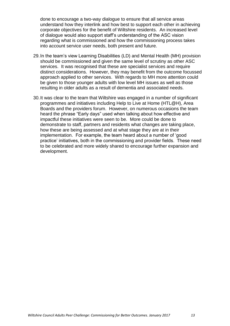done to encourage a two-way dialogue to ensure that all service areas understand how they interlink and how best to support each other in achieving corporate objectives for the benefit of Wiltshire residents. An increased level of dialogue would also support staff's understanding of the ASC vision regarding what is commissioned and how the commissioning process takes into account service user needs, both present and future.

- 29.In the team's view Learning Disabilities (LD) and Mental Health (MH) provision should be commissioned and given the same level of scrutiny as other ASC services. It was recognised that these are specialist services and require distinct considerations. However, they may benefit from the outcome focussed approach applied to other services. With regards to MH more attention could be given to those younger adults with low level MH issues as well as those resulting in older adults as a result of dementia and associated needs.
- 30.It was clear to the team that Wiltshire was engaged in a number of significant programmes and initiatives including Help to Live at Home (HTL@H), Area Boards and the providers forum. However, on numerous occasions the team heard the phrase "Early days" used when talking about how effective and impactful these initiatives were seen to be. More could be done to demonstrate to staff, partners and residents what changes are taking place, how these are being assessed and at what stage they are at in their implementation. For example, the team heard about a number of 'good practice' initiatives, both in the commissioning and provider fields. These need to be celebrated and more widely shared to encourage further expansion and development.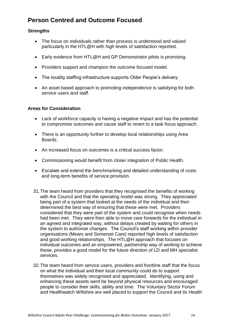## **Person Centred and Outcome Focused**

#### **Strengths**

- The focus on individuals rather than process is understood and valued particularly in the HTL@H with high levels of satisfaction reported.
- Early evidence from HTL@H and GP Demonstrator pilots is promising.
- Providers support and champion the outcome focused model.
- The locality staffing infrastructure supports Older People's delivery.
- An asset based approach to promoting independence is satisfying for both service users and staff.

#### **Areas for Consideration**

- Lack of workforce capacity is having a negative impact and has the potential to compromise outcomes and cause staff to revert to a task focus approach.
- There is an opportunity further to develop local relationships using Area Boards.
- An increased focus on outcomes is a critical success factor.
- Commissioning would benefit from closer integration of Public Health.
- Escalate and extend the benchmarking and detailed understanding of costs and long-term benefits of service provision.
- 31.The team heard from providers that they recognised the benefits of working with the Council and that the operating model was strong. They appreciated being part of a system that looked at the needs of the individual and then determined the best way of ensuring that these were met. Providers considered that they were part of the system and could recognise when needs had been met. They were then able to move care forwards for the individual in an agreed and integrated way, without delays created by waiting for others in the system to authorise changes. The Council's staff working within provider organisations (Mears and Somerset Care) reported high levels of satisfaction and good working relationships. The HTL@H approach that focuses on individual outcomes and an empowered, partnership way of working to achieve these, provides a good model for the future direction of LD and MH specialist services.
- 32.The team heard from service users, providers and frontline staff that the focus on what the individual and their local community could do to support themselves was widely recognised and appreciated. Identifying, using and enhancing these assets went far beyond physical resources and encouraged people to consider their skills, ability and time. The Voluntary Sector Forum and Healthwatch Wiltshire are well placed to support the Council and its Health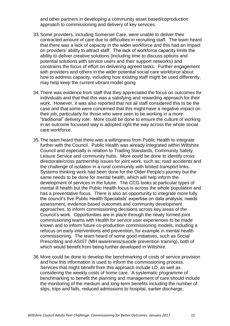and other partners in developing a community asset based/coproduction approach to commissioning and delivery of key services.

- 33.Some providers, including Somerset Care, were unable to deliver their contracted amount of care due to difficulties in recruiting staff. The team heard that there was a lack of capacity in the wider workforce and this had an impact on providers' ability to attract staff. The lack of workforce capacity limits the ability to deliver creative solutions (including time to discuss options and potential solutions with service users and their support networks) and constrains the focus of effort on delivering agreed tasks. Further engagement with providers and others in the wider potential social care workforce about how to address capacity, including how existing staff might be used differently, may help keep the current vibrant model going
- 34.There was evidence from staff that they appreciated the focus on outcomes for individuals and that that this was a satisfying and rewarding approach for their work. However, it was also reported that not all staff considered this to be the case and that some were concerned that this might have a negative impact on their job, particularly for those who were seen to be working in a more "traditional" delivery role. More could be done to ensure the culture of working in an outcome focussed way is adopted right the way across the whole social care workforce.
- 35.The team heard that there was a willingness from Public Health to integrate further with the Council. Public Health was already integrated within Wiltshire Council and especially in relation to Trading Standards, Community Safety, Leisure Service and community hubs. More could be done to identify cross directorate/cross partnership issues for joint work, such as; road accidents and the challenge of isolation in a rural community with limited transport links. Systems thinking work had been done for the Older People's journey but the same needs to be done for mental health, which will help inform the development of services in the future. The CCG looks at particular types of mental ill health but the Public Health focus is across the whole population and has a preventative focus. There is also an opportunity to integrate more fully the council's five Public Health Specialists' expertise on data analysis, needs assessment, evidence-based outcomes and community development approaches, to inform commissioning decisions across key areas of the Council's work. Opportunities are in place through the newly formed joint commissioning teams with Health for service user experiences to be made known and to inform future co-production commissioning models, including a refocus on early interventions and prevention, for example in mental health commissioning. The team heard of some good initiatives, such as Social Prescribing and ASIST (MH awareness/suicide prevention training), both of which would benefit from being further developed in Wiltshire.
- 36.More could be done to develop the benchmarking of costs of service provision and how this information is used to inform the commissioning process. Services that might benefit from this approach include LD, as well as considering the weekly costs of home care. A systematic programme of benchmarking to benefit the planning and management of care should include the monitoring of the medium and long-term benefits including the number of: slips, trips and falls, reduced admissions to hospital, earlier discharge,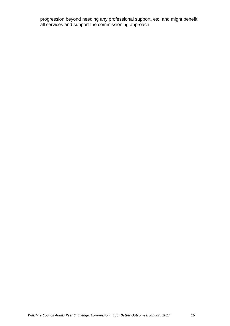progression beyond needing any professional support, etc. and might benefit all services and support the commissioning approach.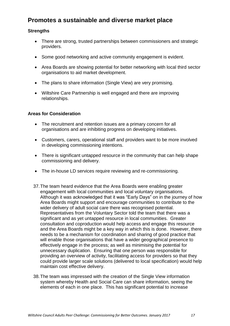## **Promotes a sustainable and diverse market place**

#### **Strengths**

- There are strong, trusted partnerships between commissioners and strategic providers.
- Some good networking and active community engagement is evident.
- Area Boards are showing potential for better networking with local third sector organisations to aid market development.
- The plans to share information (Single View) are very promising.
- Wiltshire Care Partnership is well engaged and there are improving relationships.

#### **Areas for Consideration**

- The recruitment and retention issues are a primary concern for all organisations and are inhibiting progress on developing initiatives.
- Customers, carers, operational staff and providers want to be more involved in developing commissioning intentions.
- There is significant untapped resource in the community that can help shape commissioning and delivery.
- The in-house LD services require reviewing and re-commissioning.
- 37.The team heard evidence that the Area Boards were enabling greater engagement with local communities and local voluntary organisations. Although it was acknowledged that it was "Early Days" on in the journey of how Area Boards might support and encourage communities to contribute to the wider delivery of adult social care there was recognised potential. Representatives from the Voluntary Sector told the team that there was a significant and as yet untapped resource in local communities. Greater consultation and coproduction would help access and engage this resource and the Area Boards might be a key way in which this is done. However, there needs to be a mechanism for coordination and sharing of good practice that will enable those organisations that have a wider geographical presence to effectively engage in the process; as well as minimising the potential for unnecessary duplication. Ensuring that one person was responsible for providing an overview of activity, facilitating access for providers so that they could provide larger scale solutions (delivered to local specification) would help maintain cost effective delivery.
- 38.The team was impressed with the creation of the Single View information system whereby Health and Social Care can share information, seeing the elements of each in one place. This has significant potential to increase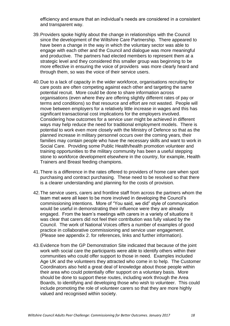efficiency and ensure that an individual's needs are considered in a consistent and transparent way.

- 39.Providers spoke highly about the change in relationships with the Council since the development of the Wiltshire Care Partnership. There appeared to have been a change in the way in which the voluntary sector was able to engage with each other and the Council and dialogue was more meaningful and productive. The partners had elected members to represent them at a strategic level and they considered this smaller group was beginning to be more effective in ensuring the voice of providers was more clearly heard and through them, so was the voice of their service users.
- 40.Due to a lack of capacity in the wider workforce, organisations recruiting for care posts are often competing against each other and targeting the same potential recruit. More could be done to share information across organisations (even where they are offering slightly different rates of pay or terms and conditions) so that resource and effort are not wasted. People will move between employers for a relatively little increase in wages and this has significant transactional cost implications for the employers involved. Considering how outcomes for a service user might be achieved in different ways may help reduce the need for traditional employment models. There is potential to work even more closely with the Ministry of Defence so that as the planned increase in military personnel occurs over the coming years, their families may contain people who have the necessary skills and want to work in Social Care. Providing some Public Health/health promotion volunteer and training opportunities to the military community has been a useful stepping stone to workforce development elsewhere in the country, for example, Health Trainers and Breast feeding champions.
- 41.There is a difference in the rates offered to providers of home care when spot purchasing and contract purchasing. These need to be resolved so that there is a clearer understanding and planning for the costs of provision.
- 42.The service users, carers and frontline staff from across the partners whom the team met were all keen to be more involved in developing the Council's commissioning intentions. More of "You said, we did" style of communication would be useful in demonstrating their influence were they are already engaged. From the team's meetings with carers in a variety of situations it was clear that carers did not feel their contribution was fully valued by the Council. The work of National Voices offers a number of examples of good practice in collaborative commissioning and service user engagement. (Please see appendix 2. for references, links and further information).
- 43.Evidence from the GP Demonstration Site indicated that because of the joint work with social care the participants were able to identify others within their communities who could offer support to those in need. Examples included Age UK and the volunteers they attracted who come in to help. The Customer Coordinators also held a great deal of knowledge about those people within their area who could potentially offer support on a voluntary basis. More should be done to support these routes, including work through the Area Boards, to identifying and developing those who wish to volunteer. This could include promoting the role of volunteer carers so that they are more highly valued and recognised within society.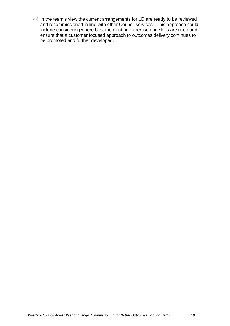44.In the team's view the current arrangements for LD are ready to be reviewed and recommissioned in line with other Council services. This approach could include considering where best the existing expertise and skills are used and ensure that a customer focused approach to outcomes delivery continues to be promoted and further developed.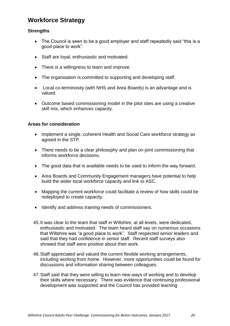## **Workforce Strategy**

#### **Strengths**

- The Council is seen to be a good employer and staff repeatedly said "this is a good place to work".
- Staff are loyal, enthusiastic and motivated.
- There is a willingness to learn and improve.
- The organisation is committed to supporting and developing staff.
- Local co-terminosity (with NHS and Area Boards) is an advantage and is valued.
- Outcome based commissioning model in the pilot sites are using a creative skill mix, which enhances capacity.

#### **Areas for consideration**

- Implement a single, coherent Health and Social Care workforce strategy as agreed in the STP.
- There needs to be a clear philosophy and plan on joint commissioning that informs workforce decisions.
- The good data that is available needs to be used to inform the way forward.
- Area Boards and Community Engagement managers have potential to help build the wider local workforce capacity and link to ASC.
- Mapping the current workforce could facilitate a review of how skills could be redeployed to create capacity.
- Identify and address training needs of commissioners.
- 45.It was clear to the team that staff in Wiltshire, at all levels, were dedicated, enthusiastic and motivated. The team heard staff say on numerous occasions that Wiltshire was "a good place to work". Staff respected senior leaders and said that they had confidence in senior staff. Recent staff surveys also showed that staff were positive about their work.
- 46.Staff appreciated and valued the current flexible working arrangements, including working from home. However, more opportunities could be found for discussions and information sharing between colleagues.
- 47.Staff said that they were willing to learn new ways of working and to develop their skills where necessary. There was evidence that continuing professional development was supported and the Council has provided learning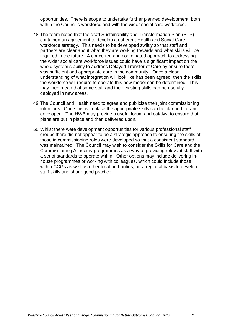opportunities. There is scope to undertake further planned development, both within the Council's workforce and with the wider social care workforce.

- 48.The team noted that the draft Sustainability and Transformation Plan (STP) contained an agreement to develop a coherent Health and Social Care workforce strategy. This needs to be developed swiftly so that staff and partners are clear about what they are working towards and what skills will be required in the future. A concerted and coordinated approach to addressing the wider social care workforce issues could have a significant impact on the whole system's ability to address Delayed Transfer of Care by ensure there was sufficient and appropriate care in the community. Once a clear understanding of what integration will look like has been agreed, then the skills the workforce will require to operate this new model can be determined. This may then mean that some staff and their existing skills can be usefully deployed in new areas.
- 49.The Council and Health need to agree and publicise their joint commissioning intentions. Once this is in place the appropriate skills can be planned for and developed. The HWB may provide a useful forum and catalyst to ensure that plans are put in place and then delivered upon.
- 50.Whilst there were development opportunities for various professional staff groups there did not appear to be a strategic approach to ensuring the skills of those in commissioning roles were developed so that a consistent standard was maintained. The Council may wish to consider the Skills for Care and the Commissioning Academy programmes as a way of providing relevant staff with a set of standards to operate within. Other options may include delivering inhouse programmes or working with colleagues, which could include those within CCGs as well as other local authorities, on a regional basis to develop staff skills and share good practice.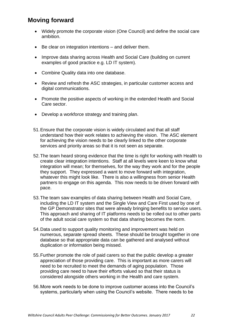## **Moving forward**

- Widely promote the corporate vision (One Council) and define the social care ambition.
- Be clear on integration intentions and deliver them.
- Improve data sharing across Health and Social Care (building on current examples of good practice e.g. LD IT system).
- Combine Quality data into one database.
- Review and refresh the ASC strategies, in particular customer access and digital communications.
- Promote the positive aspects of working in the extended Health and Social Care sector.
- Develop a workforce strategy and training plan.
- 51.Ensure that the corporate vision is widely circulated and that all staff understand how their work relates to achieving the vision. The ASC element for achieving the vision needs to be clearly linked to the other corporate services and priority areas so that it is not seen as separate.
- 52.The team heard strong evidence that the time is right for working with Health to create clear integration intentions. Staff at all levels were keen to know what integration will mean; for themselves, for the way they work and for the people they support. They expressed a want to move forward with integration, whatever this might look like. There is also a willingness from senior Health partners to engage on this agenda. This now needs to be driven forward with pace.
- 53.The team saw examples of data sharing between Health and Social Care, including the LD IT system and the Single View and Care First used by one of the GP Demonstrator sites that were already bringing benefits to service users. This approach and sharing of IT platforms needs to be rolled out to other parts of the adult social care system so that data sharing becomes the norm.
- 54.Data used to support quality monitoring and improvement was held on numerous, separate spread sheets. These should be brought together in one database so that appropriate data can be gathered and analysed without duplication or information being missed.
- 55.Further promote the role of paid carers so that the public develop a greater appreciation of those providing care. This is important as more carers will need to be recruited to meet the demands of aging population. Those providing care need to have their efforts valued so that their status is considered alongside others working in the Health and care system.
- 56.More work needs to be done to improve customer access into the Council's systems, particularly when using the Council's website. There needs to be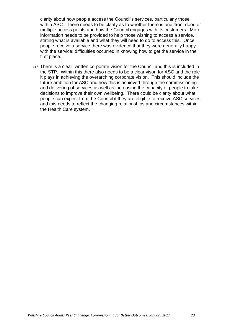clarity about how people access the Council's services, particularly those within ASC. There needs to be clarity as to whether there is one 'front door' or multiple access points and how the Council engages with its customers. More information needs to be provided to help those wishing to access a service, stating what is available and what they will need to do to access this. Once people receive a service there was evidence that they were generally happy with the service; difficulties occurred in knowing how to get the service in the first place.

57.There is a clear, written corporate vision for the Council and this is included in the STP. Within this there also needs to be a clear vison for ASC and the role it plays in achieving the overarching corporate vision. This should include the future ambition for ASC and how this is achieved through the commissioning and delivering of services as well as increasing the capacity of people to take decisions to improve their own wellbeing. There could be clarity about what people can expect from the Council if they are eligible to receive ASC services and this needs to reflect the changing relationships and circumstances within the Health Care system.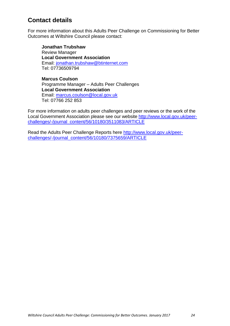## **Contact details**

For more information about this Adults Peer Challenge on Commissioning for Better Outcomes at Wiltshire Council please contact:

**Jonathan Trubshaw** Review Manager **Local Government Association** Email: [jonathan.trubshaw@btinternet.com](mailto:jonathan.trubshaw@btinternet.com) Tel: 07736509794

**Marcus Coulson** Programme Manager – Adults Peer Challenges **Local Government Association** Email: [marcus.coulson@local.gov.uk](mailto:marcus.coulson@local.gov.uk) Tel: 07766 252 853

For more information on adults peer challenges and peer reviews or the work of the Local Government Association please see our website [http://www.local.gov.uk/peer](http://www.local.gov.uk/peer-challenges/-/journal_content/56/10180/3511083/ARTICLE)[challenges/-/journal\\_content/56/10180/3511083/ARTICLE](http://www.local.gov.uk/peer-challenges/-/journal_content/56/10180/3511083/ARTICLE)

Read the Adults Peer Challenge Reports here [http://www.local.gov.uk/peer](http://www.local.gov.uk/peer-challenges/-/journal_content/56/10180/7375659/ARTICLE)[challenges/-/journal\\_content/56/10180/7375659/ARTICLE](http://www.local.gov.uk/peer-challenges/-/journal_content/56/10180/7375659/ARTICLE)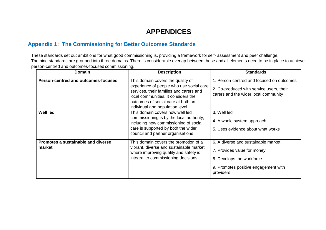# **APPENDICES**

### **Appendix 1: The Commissioning for Better Outcomes Standards**

These standards set out ambitions for what good commissioning is, providing a framework for self- assessment and peer challenge. The nine standards are grouped into three domains. There is considerable overlap between these and all elements need to be in place to achieve person-centred and outcomes-focused commissioning.

| <b>Domain</b>                                | <b>Description</b>                                                                                                                                                                                                                        | <b>Standards</b>                                                                                                                                     |
|----------------------------------------------|-------------------------------------------------------------------------------------------------------------------------------------------------------------------------------------------------------------------------------------------|------------------------------------------------------------------------------------------------------------------------------------------------------|
| Person-centred and outcomes-focused          | This domain covers the quality of<br>experience of people who use social care<br>services, their families and carers and<br>local communities. It considers the<br>outcomes of social care at both an<br>individual and population level. | 1. Person-centred and focused on outcomes<br>2. Co-produced with service users, their<br>carers and the wider local community                        |
| <b>Well led</b>                              | This domain covers how well led<br>commissioning is by the local authority,<br>including how commissioning of social<br>care is supported by both the wider<br>council and partner organisations                                          | 3. Well led<br>4. A whole system approach<br>5. Uses evidence about what works                                                                       |
| Promotes a sustainable and diverse<br>market | This domain covers the promotion of a<br>vibrant, diverse and sustainable market,<br>where improving quality and safety is<br>integral to commissioning decisions.                                                                        | 6. A diverse and sustainable market<br>7. Provides value for money<br>8. Develops the workforce<br>9. Promotes positive engagement with<br>providers |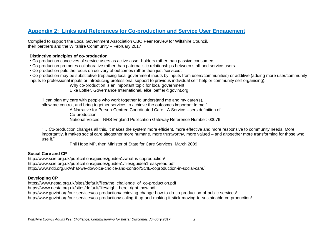#### **Appendix 2: Links and References for Co-production and Service User Engagement**

Compiled to support the Local Government Association CBO Peer Review for Wiltshire Council, their partners and the Wiltshire Community – February 2017

#### **Distinctive principles of co-production**

- Co-production conceives of service users as active asset-holders rather than passive consumers.
- Co-production promotes collaborative rather than paternalistic relationships between staff and service users.
- Co-production puts the focus on delivery of outcomes rather than just 'services'.

• Co-production may be substitutive (replacing local government inputs by inputs from users/communities) or additive (adding more user/community inputs to professional inputs or introducing professional support to previous individual self-help or community self-organising).

Why co-production is an important topic for local government

Elke Löffler, Governance International, elke.loeffler@govint.org

"I can plan my care with people who work together to understand me and my carer(s), allow me control, and bring together services to achieve the outcomes important to me."

> A Narrative for Person-Centred Coordinated Care - A Service Users definition of Co-production

> National Voices - NHS England Publication Gateway Reference Number: 00076

" …Co-production changes all this. It makes the system more efficient, more effective and more responsive to community needs. More importantly, it makes social care altogether more humane, more trustworthy, more valued – and altogether more transforming for those who use it."

Phil Hope MP, then Minister of State for Care Services, March 2009

#### **Social Care and CP**

<http://www.scie.org.uk/publications/guides/guide51/what-is-coproduction/> http://www.scie.org.uk/publications/guides/guide51/files/guide51-easyread.pdf <http://www.ndti.org.uk/what-we-do/voice-choice-and-control/SCIE-coproduction-in-social-care/>

#### **Developing CP**

https://www.nesta.org.uk/sites/default/files/the\_challenge\_of\_co-production.pdf

https://www.nesta.org.uk/sites/default/files/right\_here\_right\_now.pdf

<http://www.govint.org/our-services/co-production/achieving-change-how-to-do-co-production-of-public-services/>

<http://www.govint.org/our-services/co-production/scaling-it-up-and-making-it-stick-moving-to-sustainable-co-production/>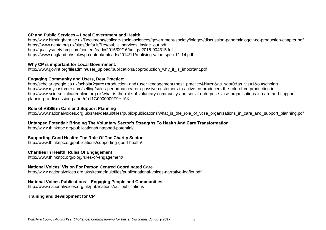#### **CP and Public Services – Local Government and Health**

<http://www.birmingham.ac.uk/Documents/college-social-sciences/government-society/inlogov/discussion-papers/inlogov-co-production-chapter.pdf> [https://www.nesta.org.uk/sites/default/files/public\\_services\\_inside\\_out.pdf](https://www.nesta.org.uk/sites/default/files/public_services_inside_out.pdf) <http://qualitysafety.bmj.com/content/early/2015/09/16/bmjqs-2015-004315.full> <https://www.england.nhs.uk/wp-content/uploads/2014/11/realising-value-spec-11-14.pdf>

#### **Why CP is important for Local Government:**

[http://www.govint.org/fileadmin/user\\_upload/publications/coproduction\\_why\\_it\\_is\\_important.pdf](http://www.govint.org/fileadmin/user_upload/publications/coproduction_why_it_is_important.pdf)

#### **Engaging Community and Users, Best Practice:**

[http://scholar.google.co.uk/scholar?q=co+production+and+user+engagement+best+practice&hl=en&as\\_sdt=0&as\\_vis=1&oi=scholart](http://scholar.google.co.uk/scholar?q=co+production+and+user+engagement+best+practice&hl=en&as_sdt=0&as_vis=1&oi=scholart) <http://www.mycustomer.com/selling/sales-performance/from-passive-customers-to-active-co-producers-the-role-of-co-production-in> [http://www.scie-socialcareonline.org.uk/what-is-the-role-of-voluntary-community-and-social-enterprise-vcse-organisations-in-care-and-support](http://www.scie-socialcareonline.org.uk/what-is-the-role-of-voluntary-community-and-social-enterprise-vcse-organisations-in-care-and-support-planning--a-discussion-paper/r/a11G0000009T9YtIAK)[planning--a-discussion-paper/r/a11G0000009T9YtIAK](http://www.scie-socialcareonline.org.uk/what-is-the-role-of-voluntary-community-and-social-enterprise-vcse-organisations-in-care-and-support-planning--a-discussion-paper/r/a11G0000009T9YtIAK)

#### **Role of VSSE in Care and Support Planning**

[http://www.nationalvoices.org.uk/sites/default/files/public/publications/what\\_is\\_the\\_role\\_of\\_vcse\\_organisations\\_in\\_care\\_and\\_support\\_planning.pdf](http://www.nationalvoices.org.uk/sites/default/files/public/publications/what_is_the_role_of_vcse_organisations_in_care_and_support_planning.pdf)

#### **Untapped Potential: Bringing The Voluntary Sector's Strengths To Health And Care Transformation**

<http://www.thinknpc.org/publications/untapped-potential/>

#### **Supporting Good Health: The Role Of The Charity Sector**

<http://www.thinknpc.org/publications/supporting-good-health/>

#### **Charities In Health: Rules Of Engagement**

<http://www.thinknpc.org/blog/rules-of-engagement/>

#### **National Voices' Vision For Person Centred Coordinated Care**

<http://www.nationalvoices.org.uk/sites/default/files/public/national-voices-narrative-leaflet.pdf>

#### **National Voices Publications – Engaging People and Communities**

<http://www.nationalvoices.org.uk/publications/our-publications>

#### **Training and development for CP**